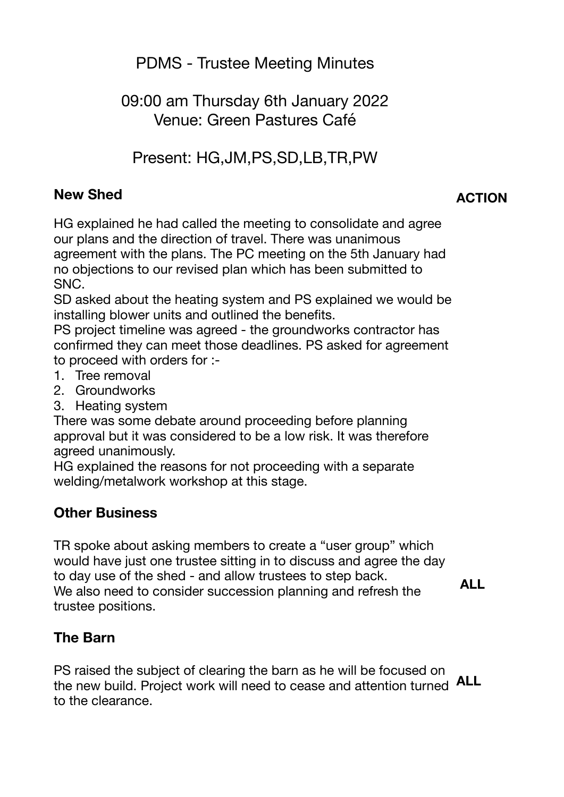PDMS - Trustee Meeting Minutes

# 09:00 am Thursday 6th January 2022 Venue: Green Pastures Café

Present: HG,JM,PS,SD,LB,TR,PW

#### **New Shed**

**ACTION** 

HG explained he had called the meeting to consolidate and agree our plans and the direction of travel. There was unanimous agreement with the plans. The PC meeting on the 5th January had no objections to our revised plan which has been submitted to SNC.

SD asked about the heating system and PS explained we would be installing blower units and outlined the benefits.

PS project timeline was agreed - the groundworks contractor has confirmed they can meet those deadlines. PS asked for agreement to proceed with orders for :-

- 1. Tree removal
- 2. Groundworks
- 3. Heating system

There was some debate around proceeding before planning approval but it was considered to be a low risk. It was therefore agreed unanimously.

HG explained the reasons for not proceeding with a separate welding/metalwork workshop at this stage.

# **Other Business**

TR spoke about asking members to create a "user group" which would have just one trustee sitting in to discuss and agree the day to day use of the shed - and allow trustees to step back. We also need to consider succession planning and refresh the trustee positions.

 **ALL** 

# **The Barn**

PS raised the subject of clearing the barn as he will be focused on the new build. Project work will need to cease and attention turned **ALL**to the clearance.